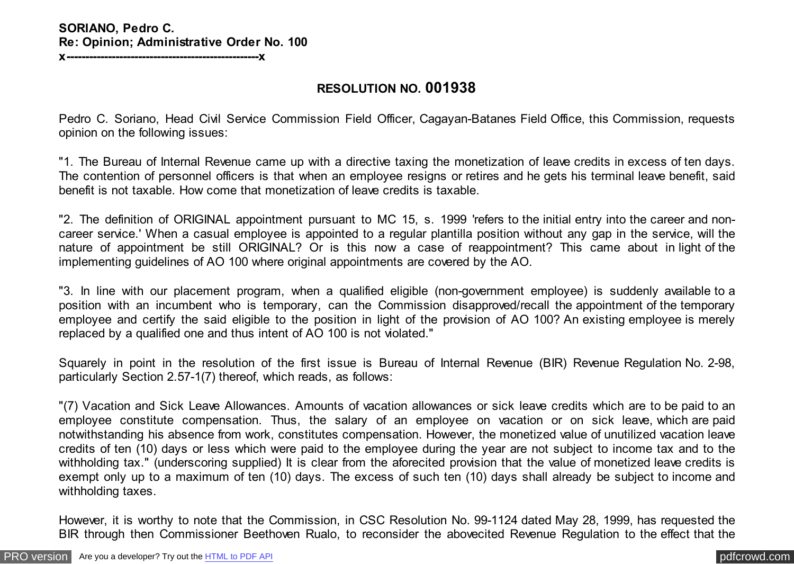## **SORIANO, Pedro C. Re: Opinion; Administrative Order No. 100 x---------------------------------------------------x**

**RESOLUTION NO. 001938**

Pedro C. Soriano, Head Civil Service Commission Field Officer, Cagayan-Batanes Field Office, this Commission, requests opinion on the following issues:

"1. The Bureau of Internal Revenue came up with a directive taxing the monetization of leave credits in excess of ten days. The contention of personnel officers is that when an employee resigns or retires and he gets his terminal leave benefit, said benefit is not taxable. How come that monetization of leave credits is taxable.

"2. The definition of ORIGINAL appointment pursuant to MC 15, s. 1999 'refers to the initial entry into the career and noncareer service.' When a casual employee is appointed to a regular plantilla position without any gap in the service, will the nature of appointment be still ORIGINAL? Or is this now a case of reappointment? This came about in light of the implementing guidelines of AO 100 where original appointments are covered by the AO.

"3. In line with our placement program, when a qualified eligible (non-government employee) is suddenly available to a position with an incumbent who is temporary, can the Commission disapproved/recall the appointment of the temporary employee and certify the said eligible to the position in light of the provision of AO 100? An existing employee is merely replaced by a qualified one and thus intent of AO 100 is not violated."

Squarely in point in the resolution of the first issue is Bureau of Internal Revenue (BIR) Revenue Regulation No. 2-98, particularly Section 2.57-1(7) thereof, which reads, as follows:

"(7) Vacation and Sick Leave Allowances. Amounts of vacation allowances or sick leave credits which are to be paid to an employee constitute compensation. Thus, the salary of an employee on vacation or on sick leave, which are paid notwithstanding his absence from work, constitutes compensation. However, the monetized value of unutilized vacation leave credits of ten (10) days or less which were paid to the employee during the year are not subject to income tax and to the withholding tax." (underscoring supplied) It is clear from the aforecited provision that the value of monetized leave credits is exempt only up to a maximum of ten (10) days. The excess of such ten (10) days shall already be subject to income and withholding taxes.

However, it is worthy to note that the Commission, in CSC Resolution No. 99-1124 dated May 28, 1999, has requested the BIR through then Commissioner Beethoven Rualo, to reconsider the abovecited Revenue Regulation to the effect that the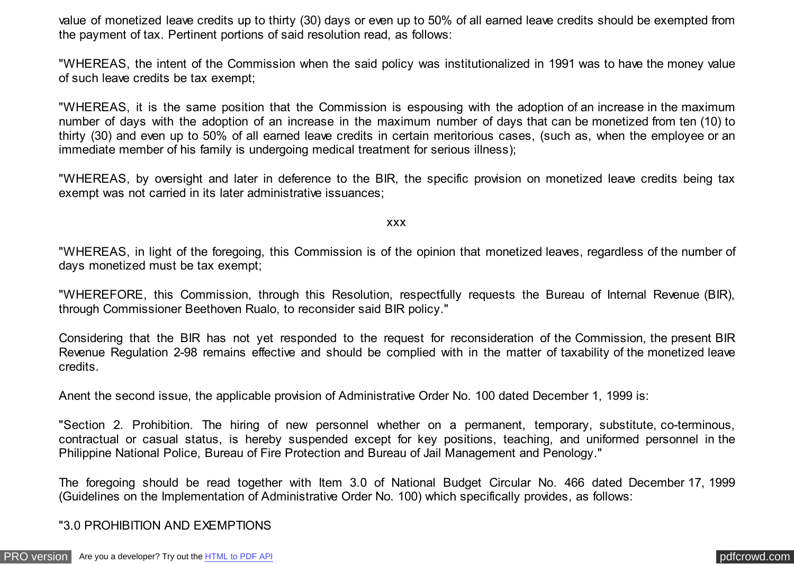value of monetized leave credits up to thirty (30) days or even up to 50% of all earned leave credits should be exempted from the payment of tax. Pertinent portions of said resolution read, as follows:

"WHEREAS, the intent of the Commission when the said policy was institutionalized in 1991 was to have the money value of such leave credits be tax exempt;

"WHEREAS, it is the same position that the Commission is espousing with the adoption of an increase in the maximum number of days with the adoption of an increase in the maximum number of days that can be monetized from ten (10) to thirty (30) and even up to 50% of all earned leave credits in certain meritorious cases, (such as, when the employee or an immediate member of his family is undergoing medical treatment for serious illness);

"WHEREAS, by oversight and later in deference to the BIR, the specific provision on monetized leave credits being tax exempt was not carried in its later administrative issuances;

xxx

"WHEREAS, in light of the foregoing, this Commission is of the opinion that monetized leaves, regardless of the number of days monetized must be tax exempt;

"WHEREFORE, this Commission, through this Resolution, respectfully requests the Bureau of Internal Revenue (BIR), through Commissioner Beethoven Rualo, to reconsider said BIR policy."

Considering that the BIR has not yet responded to the request for reconsideration of the Commission, the present BIR Revenue Regulation 2-98 remains effective and should be complied with in the matter of taxability of the monetized leave credits.

Anent the second issue, the applicable provision of Administrative Order No. 100 dated December 1, 1999 is:

"Section 2. Prohibition. The hiring of new personnel whether on a permanent, temporary, substitute, co-terminous, contractual or casual status, is hereby suspended except for key positions, teaching, and uniformed personnel in the Philippine National Police, Bureau of Fire Protection and Bureau of Jail Management and Penology."

The foregoing should be read together with Item 3.0 of National Budget Circular No. 466 dated December 17, 1999 (Guidelines on the Implementation of Administrative Order No. 100) which specifically provides, as follows:

"3.0 PROHIBITION AND EXEMPTIONS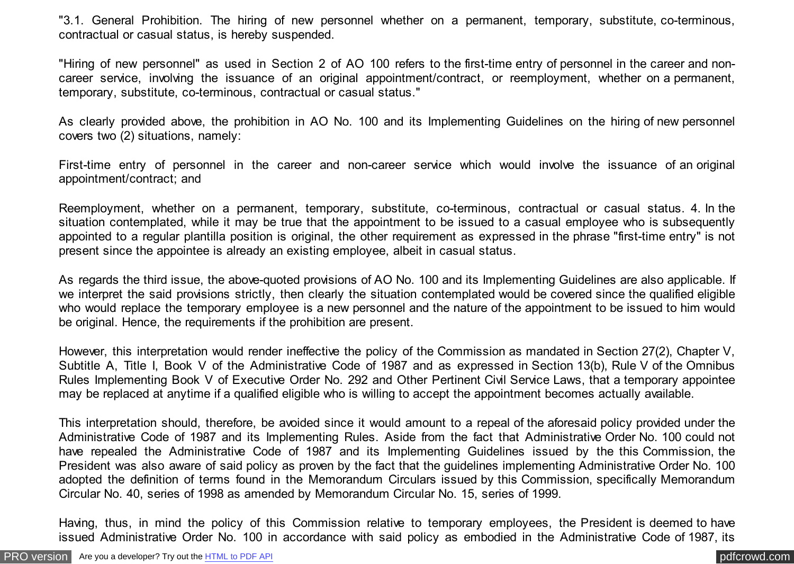"3.1. General Prohibition. The hiring of new personnel whether on a permanent, temporary, substitute, co-terminous, contractual or casual status, is hereby suspended.

"Hiring of new personnel" as used in Section 2 of AO 100 refers to the first-time entry of personnel in the career and noncareer service, involving the issuance of an original appointment/contract, or reemployment, whether on a permanent, temporary, substitute, co-terminous, contractual or casual status."

As clearly provided above, the prohibition in AO No. 100 and its Implementing Guidelines on the hiring of new personnel covers two (2) situations, namely:

First-time entry of personnel in the career and non-career service which would involve the issuance of an original appointment/contract; and

Reemployment, whether on a permanent, temporary, substitute, co-terminous, contractual or casual status. 4. In the situation contemplated, while it may be true that the appointment to be issued to a casual employee who is subsequently appointed to a regular plantilla position is original, the other requirement as expressed in the phrase "first-time entry" is not present since the appointee is already an existing employee, albeit in casual status.

As regards the third issue, the above-quoted provisions of AO No. 100 and its Implementing Guidelines are also applicable. If we interpret the said provisions strictly, then clearly the situation contemplated would be covered since the qualified eligible who would replace the temporary employee is a new personnel and the nature of the appointment to be issued to him would be original. Hence, the requirements if the prohibition are present.

However, this interpretation would render ineffective the policy of the Commission as mandated in Section 27(2), Chapter V, Subtitle A, Title I, Book V of the Administrative Code of 1987 and as expressed in Section 13(b), Rule V of the Omnibus Rules Implementing Book V of Executive Order No. 292 and Other Pertinent Civil Service Laws, that a temporary appointee may be replaced at anytime if a qualified eligible who is willing to accept the appointment becomes actually available.

This interpretation should, therefore, be avoided since it would amount to a repeal of the aforesaid policy provided under the Administrative Code of 1987 and its Implementing Rules. Aside from the fact that Administrative Order No. 100 could not have repealed the Administrative Code of 1987 and its Implementing Guidelines issued by the this Commission, the President was also aware of said policy as proven by the fact that the guidelines implementing Administrative Order No. 100 adopted the definition of terms found in the Memorandum Circulars issued by this Commission, specifically Memorandum Circular No. 40, series of 1998 as amended by Memorandum Circular No. 15, series of 1999.

Having, thus, in mind the policy of this Commission relative to temporary employees, the President is deemed to have issued Administrative Order No. 100 in accordance with said policy as embodied in the Administrative Code of 1987, its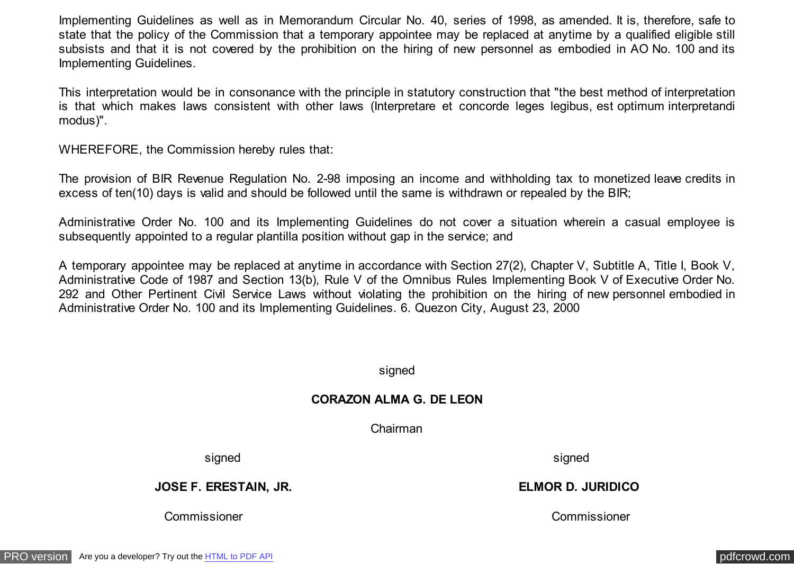Implementing Guidelines as well as in Memorandum Circular No. 40, series of 1998, as amended. It is, therefore, safe to state that the policy of the Commission that a temporary appointee may be replaced at anytime by a qualified eligible still subsists and that it is not covered by the prohibition on the hiring of new personnel as embodied in AO No. 100 and its Implementing Guidelines.

This interpretation would be in consonance with the principle in statutory construction that "the best method of interpretation is that which makes laws consistent with other laws (Interpretare et concorde leges legibus, est optimum interpretandi modus)".

WHEREFORE, the Commission hereby rules that:

The provision of BIR Revenue Regulation No. 2-98 imposing an income and withholding tax to monetized leave credits in excess of ten(10) days is valid and should be followed until the same is withdrawn or repealed by the BIR;

Administrative Order No. 100 and its Implementing Guidelines do not cover a situation wherein a casual employee is subsequently appointed to a regular plantilla position without gap in the service; and

A temporary appointee may be replaced at anytime in accordance with Section 27(2), Chapter V, Subtitle A, Title I, Book V, Administrative Code of 1987 and Section 13(b), Rule V of the Omnibus Rules Implementing Book V of Executive Order No. 292 and Other Pertinent Civil Service Laws without violating the prohibition on the hiring of new personnel embodied in Administrative Order No. 100 and its Implementing Guidelines. 6. Quezon City, August 23, 2000

signed

## **CORAZON ALMA G. DE LEON**

Chairman

signed signed and signed signed signed signed signed signed signed signed signed signed signed signed signed  $\sim$ 

**JOSE F. ERESTAIN, JR. ELMOR D. JURIDICO**

Commissioner Commissioner